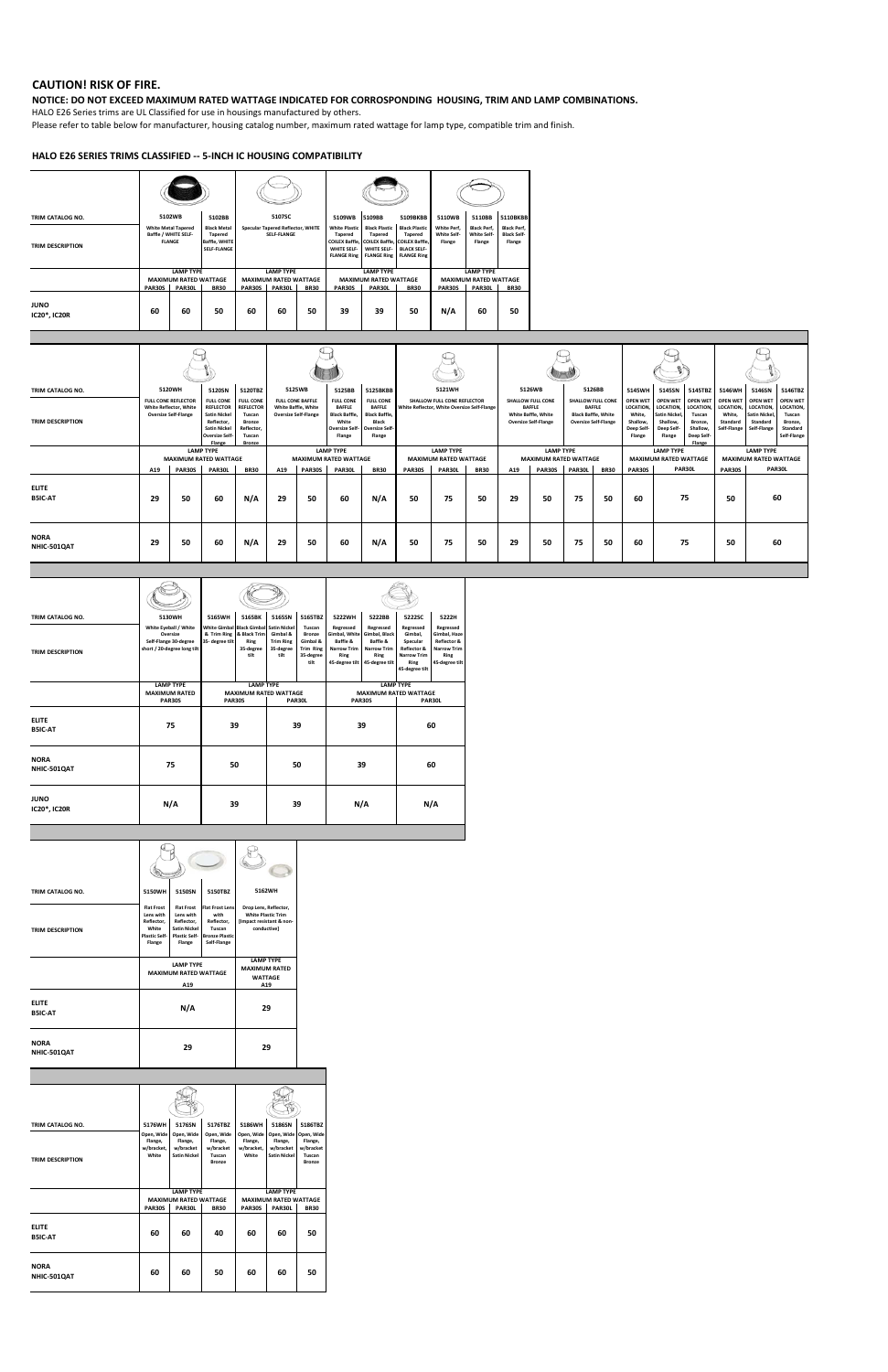## **CAUTION! RISK OF FIRE.**

## **NOTICE: DO NOT EXCEED MAXIMUM RATED WATTAGE INDICATED FOR CORROSPONDING HOUSING, TRIM AND LAMP COMBINATIONS.**

HALO E26 Series trims are UL Classified for use in housings manufactured by others.

Please refer to table below for manufacturer, housing catalog number, maximum rated wattage for lamp type, compatible trim and finish.

## **HALO E26 SERIES TRIMS CLASSIFIED -- 5-INCH IC HOUSING COMPATIBILITY**

| TRIM CATALOG NO.                   |        | 5102WB                                                              | 5102BB                                                                      |        | 5107SC                                                         |             | 5109WB                                                                                                                      | 5109BB                                                                      | 5109BKBB                                                                           | 5110WB                                      | 5110BB                                             | 5110BKBB                                           |
|------------------------------------|--------|---------------------------------------------------------------------|-----------------------------------------------------------------------------|--------|----------------------------------------------------------------|-------------|-----------------------------------------------------------------------------------------------------------------------------|-----------------------------------------------------------------------------|------------------------------------------------------------------------------------|---------------------------------------------|----------------------------------------------------|----------------------------------------------------|
| <b>TRIM DESCRIPTION</b>            |        | <b>White Metal Tapered</b><br>Baffle / WHITE SELF-<br><b>FLANGE</b> | <b>Black Metal</b><br><b>Tapered</b><br><b>Baffle, WHITE</b><br>SELF-FLANGE |        | <b>Specular Tapered Reflector, WHITE</b><br><b>SELF-FLANGE</b> |             | <b>White Plastic</b><br><b>Tapered</b><br>COILEX Baffle, COILEX Baffle, COILEX Baffle,<br>WHITE SELF-<br><b>FLANGE Ring</b> | <b>Black Plastic</b><br><b>Tapered</b><br>WHITE SELF-<br><b>FLANGE Ring</b> | <b>Black Plastic</b><br><b>Tapered</b><br><b>BLACK SELF-</b><br><b>FLANGE Ring</b> | White Perf.<br><b>White Self-</b><br>Flange | <b>Black Perf,</b><br><b>White Self-</b><br>Flange | <b>Black Perf,</b><br><b>Black Self-</b><br>Flange |
|                                    |        | <b>LAMP TYPE</b>                                                    |                                                                             |        | <b>LAMP TYPE</b>                                               |             |                                                                                                                             | <b>LAMP TYPE</b>                                                            |                                                                                    |                                             | <b>LAMP TYPE</b>                                   |                                                    |
|                                    |        | <b>MAXIMUM RATED WATTAGE</b>                                        |                                                                             |        | <b>MAXIMUM RATED WATTAGE</b>                                   |             |                                                                                                                             | <b>MAXIMUM RATED WATTAGE</b>                                                |                                                                                    |                                             | <b>MAXIMUM RATED WATTAGE</b>                       |                                                    |
|                                    | PAR30S | PAR30L                                                              | <b>BR30</b>                                                                 | PAR30S | PAR30L                                                         | <b>BR30</b> | <b>PAR30S</b>                                                                                                               | PAR30L                                                                      | <b>BR30</b>                                                                        | <b>PAR30S</b>                               | PAR30L                                             | <b>BR30</b>                                        |
| <b>JUNO</b><br><b>IC20*, IC20R</b> | 60     | 60                                                                  | 50                                                                          | 60     | 60                                                             | 50          | 39                                                                                                                          | 39                                                                          | 50                                                                                 | N/A                                         | 60                                                 | 50                                                 |

| TRIM CATALOG NO.<br><b>TRIM DESCRIPTION</b> | White Reflector, White | 5120WH<br><b>FULL CONE REFLECTOR</b><br><b>Oversize Self-Flange</b> | 5120SN<br><b>FULL CONE</b><br><b>REFLECTOR</b><br><b>Satin Nickel</b><br>Reflector.                                  | 5120TBZ<br><b>FULL CONE</b><br><b>REFLECTOR</b><br>Tuscan<br><b>Bronze</b><br>Reflector. |     | 5125WB<br><b>FULL CONE BAFFLE</b><br><b>White Baffle, White</b><br><b>Oversize Self-Flange</b> | 5125BB<br><b>FULL CONE</b><br><b>BAFFLE</b><br><b>Black Baffle.</b><br>White                          | 5125BKBB<br><b>FULL CONE</b><br><b>BAFFLE</b><br><b>Black Baffle.</b><br>Black |                                                                                     | 5121WH<br>SHALLOW FULL CONE REFLECTOR<br>White Reflector, White Oversize Self-Flange |    |     | 5126WB<br><b>SHALLOW FULL CONE</b><br><b>BAFFLE</b><br><b>White Baffle, White</b><br><b>Oversize Self-Flange</b> |        | 5126BB<br><b>SHALLOW FULL CONE</b><br><b>BAFFLE</b><br><b>Black Baffle, White</b><br><b>Oversize Self-Flange</b> | 5145WH<br><b>OPEN WET</b><br>LOCATION.<br>White.<br>Shallow. | 5145SN<br>OPEN WET OPEN WET<br>LOCATION,<br><b>Satin Nickel</b> ,<br>Shallow.      | 5145TBZ<br><b>LOCATION</b><br>Tuscan<br>Bronze. | 5146WH<br><b>OPEN WET</b><br>LOCATION.<br>White.<br>Standard | 5146SN<br><b>OPEN WET</b><br><b>LOCATION</b><br><b>Satin Nickel</b><br>Standard | 5146TBZ<br><b>OPEN WET</b><br>LOCATION,<br>Tuscan<br>Bronze. |
|---------------------------------------------|------------------------|---------------------------------------------------------------------|----------------------------------------------------------------------------------------------------------------------|------------------------------------------------------------------------------------------|-----|------------------------------------------------------------------------------------------------|-------------------------------------------------------------------------------------------------------|--------------------------------------------------------------------------------|-------------------------------------------------------------------------------------|--------------------------------------------------------------------------------------|----|-----|------------------------------------------------------------------------------------------------------------------|--------|------------------------------------------------------------------------------------------------------------------|--------------------------------------------------------------|------------------------------------------------------------------------------------|-------------------------------------------------|--------------------------------------------------------------|---------------------------------------------------------------------------------|--------------------------------------------------------------|
|                                             | A19                    | <b>PAR30S</b>                                                       | <b>Satin Nickel</b><br><b>Oversize Self-</b><br>Flange<br><b>LAMP TYPE</b><br><b>MAXIMUM RATED WATTAGE</b><br>PAR30L | Tuscan<br><b>Bronze</b><br><b>BR30</b>                                                   | A19 | PAR30S                                                                                         | Oversize Self- Oversize Self-<br>Flange<br><b>LAMP TYPE</b><br><b>MAXIMUM RATED WATTAGE</b><br>PAR30L | Flange<br><b>BR30</b>                                                          | <b>LAMP TYPE</b><br><b>MAXIMUM RATED WATTAGE</b><br>PAR30L<br><b>BR30</b><br>PAR30S |                                                                                      |    | A19 | <b>LAMP TYPE</b><br><b>MAXIMUM RATED WATTAGE</b><br>PAR30S                                                       | PAR30L | <b>BR30</b>                                                                                                      | Deep Self-<br>Flange<br>PAR30S                               | Deep Self-<br>Flange<br><b>LAMP TYPE</b><br><b>MAXIMUM RATED WATTAGE</b><br>PAR30L | Shallow.<br>Deep Self<br>Flange                 | Self-Flange<br>PAR30S                                        | Self-Flange<br><b>LAMP TYPE</b><br><b>MAXIMUM RATED WATTAGE</b><br>PAR30L       | Standard<br>Self-Flange                                      |
| <b>ELITE</b><br><b>B5IC-AT</b>              | 29                     | 50                                                                  | 60                                                                                                                   | N/A                                                                                      | 29  | 50                                                                                             | 60                                                                                                    | N/A                                                                            | 50                                                                                  | 75                                                                                   | 50 | 29  | 50                                                                                                               | 75     | 50                                                                                                               | 60                                                           |                                                                                    | 75                                              | 50                                                           |                                                                                 | 60                                                           |
| <b>NORA</b><br>NHIC-501QAT                  | 29                     | 50                                                                  | 60                                                                                                                   | N/A                                                                                      | 29  | 50                                                                                             | 60                                                                                                    | N/A                                                                            | 50                                                                                  | 75                                                                                   | 50 | 29  | 50                                                                                                               | 75     | 50                                                                                                               | 60                                                           |                                                                                    | 75                                              | 50                                                           |                                                                                 | 60                                                           |

| TRIM CATALOG NO.               | 5130WH                                                                                    | 5165WH                                                    | 5165BK                                                | 5165SN                                            | 5165TBZ                                                                      | 5222WH                                                                             | 5222BB                                                                               | 5222SC                                                                                          | 5222H                                                                                        |
|--------------------------------|-------------------------------------------------------------------------------------------|-----------------------------------------------------------|-------------------------------------------------------|---------------------------------------------------|------------------------------------------------------------------------------|------------------------------------------------------------------------------------|--------------------------------------------------------------------------------------|-------------------------------------------------------------------------------------------------|----------------------------------------------------------------------------------------------|
| <b>TRIM DESCRIPTION</b>        | White Eyeball / White<br>Oversize<br>Self-Flange 30-degree<br>short / 20-degree long tilt | White Gimbal Black Gimbal Satin Nickel<br>35- degree tilt | & Trim Ring & Black Trim<br>Ring<br>35-degree<br>tilt | Gimbal &<br><b>Trim Ring</b><br>35-degree<br>tilt | Tuscan<br><b>Bronze</b><br>Gimbal &<br><b>Trim Ring</b><br>35-degree<br>tilt | Regressed<br>Gimbal, White Gimbal, Black<br>Baffle &<br><b>Narrow Trim</b><br>Ring | Regressed<br>Baffle &<br><b>Narrow Trim</b><br>Ring<br>45-degree tilt 45-degree tilt | Regressed<br>Gimbal,<br>Specular<br>Reflector &<br><b>Narrow Trim</b><br>Ring<br>45-degree tilt | Regressed<br>Gimbal, Haze<br><b>Reflector &amp;</b><br>Narrow Trim<br>Ring<br>45-degree tilt |
|                                | <b>LAMP TYPE</b><br><b>MAXIMUM RATED</b>                                                  |                                                           | <b>LAMP TYPE</b><br><b>MAXIMUM RATED WATTAGE</b>      |                                                   |                                                                              |                                                                                    | <b>LAMP TYPE</b><br><b>MAXIMUM RATED WATTAGE</b>                                     |                                                                                                 |                                                                                              |
|                                | <b>PAR30S</b>                                                                             | <b>PAR30S</b>                                             |                                                       |                                                   | PAR30L                                                                       | <b>PAR30S</b>                                                                      |                                                                                      |                                                                                                 | PAR30L                                                                                       |
| <b>ELITE</b><br><b>B5IC-AT</b> | 75                                                                                        | 39                                                        |                                                       | 39                                                |                                                                              |                                                                                    | 39                                                                                   |                                                                                                 | 60                                                                                           |
| <b>NORA</b><br>NHIC-501QAT     | 75                                                                                        | 50                                                        |                                                       |                                                   | 50                                                                           |                                                                                    | 39                                                                                   |                                                                                                 | 60                                                                                           |
| <b>JUNO</b><br>IC20*, IC20R    | N/A                                                                                       | 39                                                        |                                                       |                                                   | 39                                                                           | N/A                                                                                |                                                                                      |                                                                                                 | N/A                                                                                          |

| TRIM CATALOG NO.               | 5150WH                                                                                  | 5150SN                                                                                                | 5150TBZ                                                                                        |                                                            | 5162WH                                                    |                                                               |
|--------------------------------|-----------------------------------------------------------------------------------------|-------------------------------------------------------------------------------------------------------|------------------------------------------------------------------------------------------------|------------------------------------------------------------|-----------------------------------------------------------|---------------------------------------------------------------|
| <b>TRIM DESCRIPTION</b>        | <b>Flat Frost</b><br>Lens with<br>Reflector,<br>White<br><b>Plastic Self-</b><br>Flange | <b>Flat Frost</b><br>Lens with<br>Reflector,<br><b>Satin Nickel</b><br><b>Plastic Self-</b><br>Flange | <b>Flat Frost Lens</b><br>with<br>Reflector,<br>Tuscan<br><b>Bronze Plastic</b><br>Self-Flange | Drop Lens, Reflector,<br>conductive]                       | <b>White Plastic Trim</b><br>[Impact resistant & non-     |                                                               |
|                                |                                                                                         | <b>LAMP TYPE</b><br><b>MAXIMUM RATED WATTAGE</b>                                                      |                                                                                                | <b>LAMP TYPE</b><br><b>MAXIMUM RATED</b><br><b>WATTAGE</b> |                                                           |                                                               |
|                                |                                                                                         | A19                                                                                                   |                                                                                                |                                                            | A19                                                       |                                                               |
| <b>ELITE</b><br>B5IC-AT        |                                                                                         | N/A                                                                                                   |                                                                                                |                                                            | 29                                                        |                                                               |
| <b>NORA</b><br>NHIC-501QAT     |                                                                                         | 29                                                                                                    |                                                                                                |                                                            | 29                                                        |                                                               |
|                                |                                                                                         |                                                                                                       |                                                                                                |                                                            |                                                           |                                                               |
|                                |                                                                                         |                                                                                                       |                                                                                                |                                                            |                                                           |                                                               |
|                                |                                                                                         |                                                                                                       |                                                                                                |                                                            |                                                           |                                                               |
| TRIM CATALOG NO.               | 5176WH                                                                                  | 5176SN                                                                                                | 5176TBZ                                                                                        | 5186WH                                                     | 5186SN                                                    | 5186TBZ                                                       |
| <b>TRIM DESCRIPTION</b>        | Open, Wide<br>Flange,<br>w/bracket.<br>White                                            | Open, Wide<br>Flange,<br>w/bracket<br><b>Satin Nickel</b>                                             | Open, Wide<br>Flange,<br>w/bracket<br>Tuscan<br><b>Bronze</b>                                  | Open, Wide<br>Flange,<br>w/bracket.<br>White               | Open, Wide<br>Flange,<br>w/bracket<br><b>Satin Nickel</b> | Open, Wide<br>Flange,<br>w/bracket<br>Tuscan<br><b>Bronze</b> |
|                                |                                                                                         | <b>LAMP TYPE</b>                                                                                      |                                                                                                |                                                            | <b>LAMP TYPE</b>                                          |                                                               |
|                                | <b>PAR30S</b>                                                                           | <b>MAXIMUM RATED WATTAGE</b><br>PAR30L                                                                | <b>BR30</b>                                                                                    | <b>PAR30S</b>                                              | <b>MAXIMUM RATED WATTAGE</b><br>PAR30L                    | <b>BR30</b>                                                   |
| <b>ELITE</b><br><b>B5IC-AT</b> | 60                                                                                      | 60                                                                                                    | 40                                                                                             | 60                                                         | 60                                                        | 50                                                            |